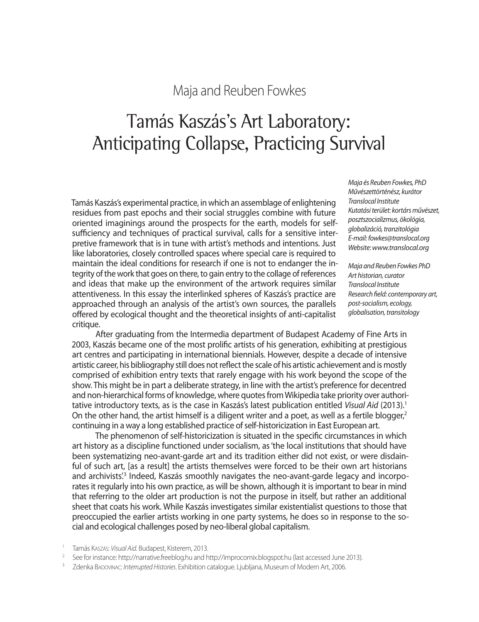## Maja and Reuben Fowkes

# Tamás Kaszás's Art Laboratory: Anticipating Collapse, Practicing Survival

Tamás Kaszás's experimental practice, in which an assemblage of enlightening residues from past epochs and their social struggles combine with future oriented imaginings around the prospects for the earth, models for selfsufficiency and techniques of practical survival, calls for a sensitive interpretive framework that is in tune with artist's methods and intentions. Just like laboratories, closely controlled spaces where special care is required to maintain the ideal conditions for research if one is not to endanger the integrity of the work that goes on there, to gain entry to the collage of references and ideas that make up the environment of the artwork requires similar attentiveness. In this essay the interlinked spheres of Kaszás's practice are approached through an analysis of the artist's own sources, the parallels offered by ecological thought and the theoretical insights of anti-capitalist critique.

*Maja és Reuben Fowkes, PhD Művészettörténész, kurátor Translocal Institute Kutatási terület: kortárs művészet, posztszocializmus, ökológia, globalizáció, tranzitológia E-mail: fowkes@translocal.org Website: www.translocal.org*

*Maja and Reuben Fowkes PhD Art historian, curator Translocal Institute Research field: contemporary art, post-socialism, ecology, globalisation, transitology*

After graduating from the Intermedia department of Budapest Academy of Fine Arts in 2003, Kaszás became one of the most prolific artists of his generation, exhibiting at prestigious art centres and participating in international biennials. However, despite a decade of intensive artistic career, his bibliography still does not reflect the scale of his artistic achievement and is mostly comprised of exhibition entry texts that rarely engage with his work beyond the scope of the show. This might be in part a deliberate strategy, in line with the artist's preference for decentred and non-hierarchical forms of knowledge, where quotes from Wikipedia take priority over authoritative introductory texts, as is the case in Kaszás's latest publication entitled *Visual Aid* (2013).<sup>1</sup> On the other hand, the artist himself is a diligent writer and a poet, as well as a fertile blogger, $2$ continuing in a way a long established practice of self-historicization in East European art.

The phenomenon of self-historicization is situated in the specific circumstances in which art history as a discipline functioned under socialism, as 'the local institutions that should have been systematizing neo-avant-garde art and its tradition either did not exist, or were disdainful of such art, [as a result] the artists themselves were forced to be their own art historians and archivists<sup>'3</sup> Indeed, Kaszás smoothly navigates the neo-avant-garde legacy and incorporates it regularly into his own practice, as will be shown, although it is important to bear in mind that referring to the older art production is not the purpose in itself, but rather an additional sheet that coats his work. While Kaszás investigates similar existentialist questions to those that preoccupied the earlier artists working in one party systems, he does so in response to the social and ecological challenges posed by neo-liberal global capitalism.

<sup>1</sup> Tamás Kaszás: *Visual Aid*. Budapest, Kisterem, 2013.<br><sup>2</sup> See for instance: http://narrative.freeblog.hu and http://improcomix.blogspot.hu (last accessed June 2013).<br><sup>3</sup> Zdenka Bapovinac: *Interrupted Histories*. Exhib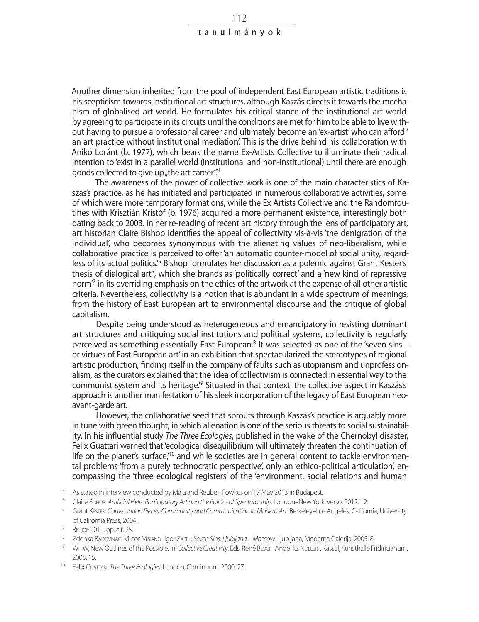Another dimension inherited from the pool of independent East European artistic traditions is his scepticism towards institutional art structures, although Kaszás directs it towards the mechanism of globalised art world. He formulates his critical stance of the institutional art world by agreeing to participate in its circuits until the conditions are met for him to be able to live without having to pursue a professional career and ultimately become an 'ex-artist' who can afford ' an art practice without institutional mediation'. This is the drive behind his collaboration with Anikó Loránt (b. 1977), which bears the name Ex-Artists Collective to illuminate their radical intention to 'exist in a parallel world (institutional and non-institutional) until there are enough goods collected to give up , the art career".<sup>4</sup>

The awareness of the power of collective work is one of the main characteristics of Kaszas's practice, as he has initiated and participated in numerous collaborative activities, some of which were more temporary formations, while the Ex Artists Collective and the Randomroutines with Krisztián Kristóf (b. 1976) acquired a more permanent existence, interestingly both dating back to 2003. In her re-reading of recent art history through the lens of participatory art, art historian Claire Bishop identifies the appeal of collectivity vis-à-vis 'the denigration of the individual', who becomes synonymous with the alienating values of neo-liberalism, while collaborative practice is perceived to offer 'an automatic counter-model of social unity, regardless of its actual politics.<sup>'5</sup> Bishop formulates her discussion as a polemic against Grant Kester's thesis of dialogical art<sup>6</sup>, which she brands as 'politically correct' and a 'new kind of repressive norm<sup>7</sup> in its overriding emphasis on the ethics of the artwork at the expense of all other artistic criteria. Nevertheless, collectivity is a notion that is abundant in a wide spectrum of meanings, from the history of East European art to environmental discourse and the critique of global capitalism.

Despite being understood as heterogeneous and emancipatory in resisting dominant art structures and critiquing social institutions and political systems, collectivity is regularly perceived as something essentially East European.<sup>8</sup> It was selected as one of the 'seven sins or virtues of East European art' in an exhibition that spectacularized the stereotypes of regional artistic production, finding itself in the company of faults such as utopianism and unprofessionalism, as the curators explained that the 'idea of collectivism is connected in essential way to the communist system and its heritage.<sup>9</sup> Situated in that context, the collective aspect in Kaszás's approach is another manifestation of his sleek incorporation of the legacy of East European neoavant-garde art.

However, the collaborative seed that sprouts through Kaszas's practice is arguably more in tune with green thought, in which alienation is one of the serious threats to social sustainability. In his influential study *The Three Ecologies*, published in the wake of the Chernobyl disaster, Felix Guattari warned that 'ecological disequilibrium will ultimately threaten the continuation of life on the planet's surface,<sup>'10</sup> and while societies are in general content to tackle environmental problems 'from a purely technocratic perspective', only an 'ethico-political articulation', encompassing the 'three ecological registers' of the 'environment, social relations and human

- 
- <sup>4</sup> As stated in interview conducted by Maja and Reuben Fowkes on 17 May 2013 in Budapest.<br><sup>5</sup> Claire Bishop: Artificial Hells. Participatory Art and the Politics of Spectatorship. London–New York, Verso, 2012. 12.<br><sup>6</sup> Gra
- of California Press, 2004.<br><sup>7</sup> Bishop 2012. op. cit. 25.<br><sup>8</sup> Zdenka BADOVINAC–Viktor MisiANO–Igor ZABEL: Seven Sins: Ljubljana Moscow. Ljubljana, Moderna Galerija, 2005. 8.<br>9 WHW, New Outlines of the Possible. In: Co*lle*
- 
- 2005. 15. 10 Felix Guattari: *The Three Ecologies*. London, Continuum, 2000. 27.
-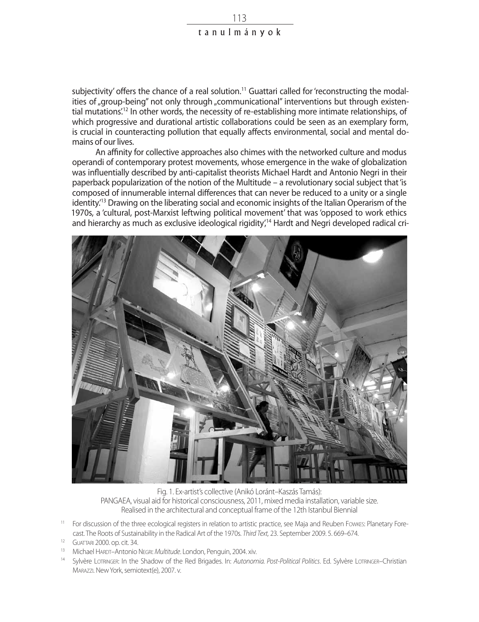subjectivity' offers the chance of a real solution.<sup>11</sup> Guattari called for 'reconstructing the modalities of "group-being" not only through "communicational" interventions but through existential mutations<sup>'12</sup> In other words, the necessity of re-establishing more intimate relationships, of which progressive and durational artistic collaborations could be seen as an exemplary form, is crucial in counteracting pollution that equally affects environmental, social and mental domains of our lives.

An affinity for collective approaches also chimes with the networked culture and modus operandi of contemporary protest movements, whose emergence in the wake of globalization was influentially described by anti-capitalist theorists Michael Hardt and Antonio Negri in their paperback popularization of the notion of the Multitude – a revolutionary social subject that 'is composed of innumerable internal differences that can never be reduced to a unity or a single identity.'13 Drawing on the liberating social and economic insights of the Italian Operarism of the 1970s, a 'cultural, post-Marxist leftwing political movement' that was 'opposed to work ethics and hierarchy as much as exclusive ideological rigidity<sup>14</sup> Hardt and Negri developed radical cri-



Fig. 1. Ex-artist's collective (Anikó Loránt–Kaszás Tamás): PANGAEA, visual aid for historical consciousness, 2011, mixed media installation, variable size. Realised in the architectural and conceptual frame of the 12th Istanbul Biennial

- <sup>11</sup> For discussion of the three ecological registers in relation to artistic practice, see Maja and Reuben Fowkes: Planetary Fore-Cast. The Roots of Sustainability in the Radical Art of the 1970s. Third Text, 23. September 2009. 5. 669–674.<br><sup>12</sup> GUATTARI 2000. op. cit. 34.<br><sup>13</sup> Michael HARDT–Antonio NEGRI: *Multitude*. London, Penguin, 2004. xiv.<br><sup>14</sup>
- 
- 
- Marazzi. New York, semiotext(e), 2007. v.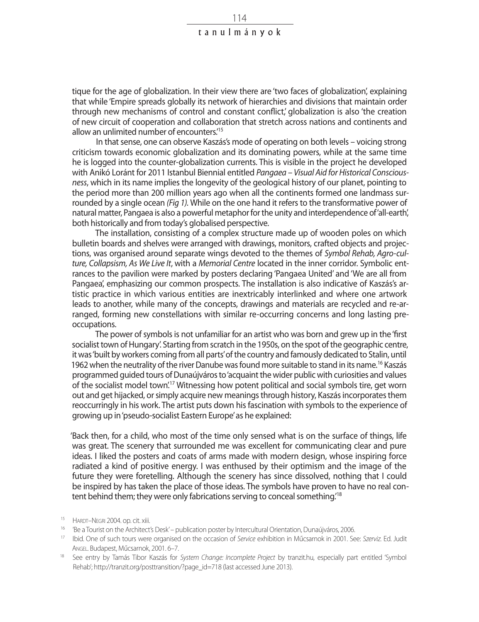tique for the age of globalization. In their view there are 'two faces of globalization', explaining that while 'Empire spreads globally its network of hierarchies and divisions that maintain order through new mechanisms of control and constant conflict,' globalization is also 'the creation of new circuit of cooperation and collaboration that stretch across nations and continents and allow an unlimited number of encounters.<sup>'15</sup>

In that sense, one can observe Kaszás's mode of operating on both levels – voicing strong criticism towards economic globalization and its dominating powers, while at the same time he is logged into the counter-globalization currents. This is visible in the project he developed with Anikó Loránt for 2011 Istanbul Biennial entitled *Pangaea – Visual Aid for Historical Consciousness*, which in its name implies the longevity of the geological history of our planet, pointing to the period more than 200 million years ago when all the continents formed one landmass surrounded by a single ocean *(Fig 1).* While on the one hand it refers to the transformative power of natural matter, Pangaea is also a powerful metaphor for the unity and interdependence of 'all-earth', both historically and from today's globalised perspective.

The installation, consisting of a complex structure made up of wooden poles on which bulletin boards and shelves were arranged with drawings, monitors, crafted objects and projections, was organised around separate wings devoted to the themes of *Symbol Rehab, Agro-culture, Collapsism, As We Live It*, with a *Memorial Centre* located in the inner corridor. Symbolic entrances to the pavilion were marked by posters declaring 'Pangaea United' and 'We are all from Pangaea', emphasizing our common prospects. The installation is also indicative of Kaszás's artistic practice in which various entities are inextricably interlinked and where one artwork leads to another, while many of the concepts, drawings and materials are recycled and re-arranged, forming new constellations with similar re-occurring concerns and long lasting preoccupations.

The power of symbols is not unfamiliar for an artist who was born and grew up in the 'first socialist town of Hungary'. Starting from scratch in the 1950s, on the spot of the geographic centre, it was 'built by workers coming from all parts' of the country and famously dedicated to Stalin, until 1962 when the neutrality of the river Danube was found more suitable to stand in its name.<sup>16</sup> Kaszás programmed guided tours of Dunaújváros to 'acquaint the wider public with curiosities and values of the socialist model town'.17 Witnessing how potent political and social symbols tire, get worn out and get hijacked, or simply acquire new meanings through history, Kaszás incorporates them reoccurringly in his work. The artist puts down his fascination with symbols to the experience of growing up in 'pseudo-socialist Eastern Europe' as he explained:

'Back then, for a child, who most of the time only sensed what is on the surface of things, life was great. The scenery that surrounded me was excellent for communicating clear and pure ideas. I liked the posters and coats of arms made with modern design, whose inspiring force radiated a kind of positive energy. I was enthused by their optimism and the image of the future they were foretelling. Although the scenery has since dissolved, nothing that I could be inspired by has taken the place of those ideas. The symbols have proven to have no real content behind them; they were only fabrications serving to conceal something.'18

<sup>&</sup>lt;sup>15</sup> HARDT–NEGRI 2004. op. cit. xiii.<br><sup>16</sup> 'Be a Tourist on the Architect's Desk' – publication poster by Intercultural Orientation, Dunaújváros, 2006.<br><sup>17</sup> Ibid. One of such tours were organised on the occasion of *Servic* 

Angel. Budapest, Műcsarnok, 2001. 6–7.<br><sup>18</sup> See entry by Tamás Tibor Kaszás for *System Change: Incomplete Project* by tranzit.hu, especially part entitled 'Symbol

Rehab'; http://tranzit.org/posttransition/?page\_id=718 (last accessed June 2013).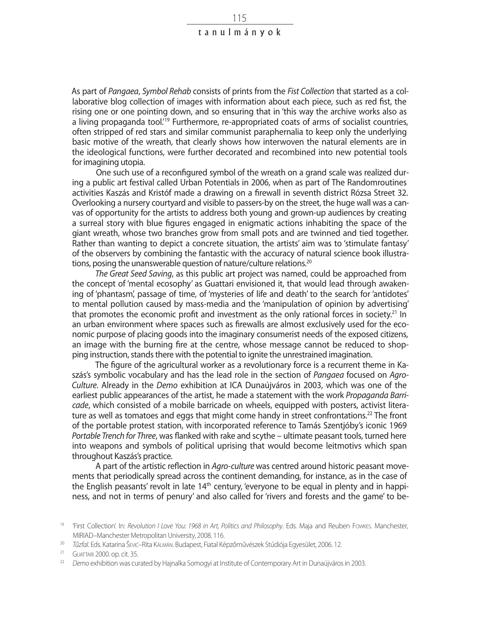As part of *Pangaea*, *Symbol Rehab* consists of prints from the *Fist Collection* that started as a collaborative blog collection of images with information about each piece, such as red fist, the rising one or one pointing down, and so ensuring that in 'this way the archive works also as a living propaganda tool.<sup>19</sup> Furthermore, re-appropriated coats of arms of socialist countries, often stripped of red stars and similar communist paraphernalia to keep only the underlying basic motive of the wreath, that clearly shows how interwoven the natural elements are in the ideological functions, were further decorated and recombined into new potential tools for imagining utopia.

One such use of a reconfigured symbol of the wreath on a grand scale was realized during a public art festival called Urban Potentials in 2006, when as part of The Randomroutines activities Kaszás and Kristóf made a drawing on a firewall in seventh district Rózsa Street 32. Overlooking a nursery courtyard and visible to passers-by on the street, the huge wall was a canvas of opportunity for the artists to address both young and grown-up audiences by creating a surreal story with blue figures engaged in enigmatic actions inhabiting the space of the giant wreath, whose two branches grow from small pots and are twinned and tied together. Rather than wanting to depict a concrete situation, the artists' aim was to 'stimulate fantasy' of the observers by combining the fantastic with the accuracy of natural science book illustrations, posing the unanswerable question of nature/culture relations.<sup>20</sup>

*The Great Seed Saving*, as this public art project was named, could be approached from the concept of 'mental ecosophy' as Guattari envisioned it, that would lead through awakening of 'phantasm', passage of time, of 'mysteries of life and death' to the search for 'antidotes' to mental pollution caused by mass-media and the 'manipulation of opinion by advertising' that promotes the economic profit and investment as the only rational forces in society.<sup>21</sup> In an urban environment where spaces such as firewalls are almost exclusively used for the economic purpose of placing goods into the imaginary consumerist needs of the exposed citizens, an image with the burning fire at the centre, whose message cannot be reduced to shopping instruction, stands there with the potential to ignite the unrestrained imagination.

The figure of the agricultural worker as a revolutionary force is a recurrent theme in Kaszás's symbolic vocabulary and has the lead role in the section of *Pangaea* focused on *Agro-Culture*. Already in the *Demo* exhibition at ICA Dunaújváros in 2003, which was one of the earliest public appearances of the artist, he made a statement with the work *Propaganda Barricade*, which consisted of a mobile barricade on wheels, equipped with posters, activist literature as well as tomatoes and eggs that might come handy in street confrontations.<sup>22</sup> The front of the portable protest station, with incorporated reference to Tamás Szentjóby's iconic 1969 *Portable Trench for Three*, was flanked with rake and scythe – ultimate peasant tools, turned here into weapons and symbols of political uprising that would become leitmotivs which span throughout Kaszás's practice.

A part of the artistic reflection in *Agro-culture* was centred around historic peasant movements that periodically spread across the continent demanding, for instance, as in the case of the English peasants' revolt in late  $14<sup>th</sup>$  century, 'everyone to be equal in plenty and in happiness, and not in terms of penury' and also called for 'rivers and forests and the game' to be-

<sup>19</sup> 'First Collection'. In: *Revolution I Love You: 1968 in Art, Politics and Philosophy*. Eds. Maja and Reuben Fowkes. Manchester, MIRIAD–Manchester Metropolitan University, 2008. 116. 20 *Tűzfal*. Eds. Katarina Šević–Rita Kálmán. Budapest, Fiatal Képzőművészek Stúdiója Egyesület, 2006. 12.

<sup>&</sup>lt;sup>21</sup> Guattari 2000. op. cit. 35.<br><sup>22</sup> *Demo* exhibition was curated by Hajnalka Somogyi at Institute of Contemporary Art in Dunaújváros in 2003.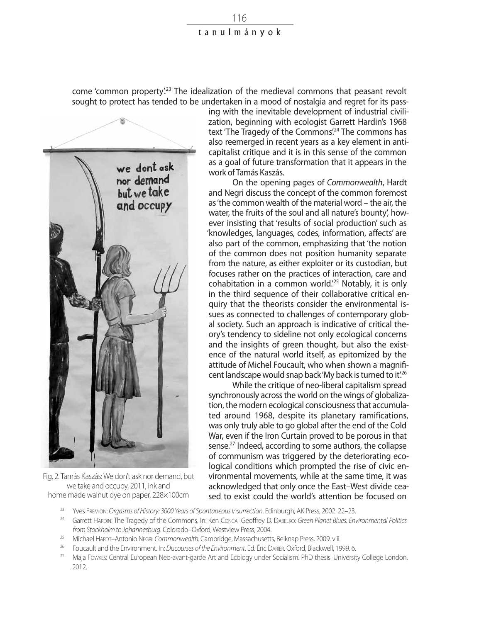come 'common property'.<sup>23</sup> The idealization of the medieval commons that peasant revolt sought to protect has tended to be undertaken in a mood of nostalgia and regret for its pass-



Fig. 2. Tamás Kaszás: We don't ask nor demand, but we take and occupy, 2011, ink and home made walnut dye on paper, 228×100cm

ing with the inevitable development of industrial civilization, beginning with ecologist Garrett Hardin's 1968 text 'The Tragedy of the Commons'.<sup>24</sup> The commons has also reemerged in recent years as a key element in anticapitalist critique and it is in this sense of the common as a goal of future transformation that it appears in the work of Tamás Kaszás.

On the opening pages of *Commonwealth*, Hardt and Negri discuss the concept of the common foremost as 'the common wealth of the material word – the air, the water, the fruits of the soul and all nature's bounty', however insisting that 'results of social production' such as 'knowledges, languages, codes, information, affects' are also part of the common, emphasizing that 'the notion of the common does not position humanity separate from the nature, as either exploiter or its custodian, but focuses rather on the practices of interaction, care and cohabitation in a common world.'25 Notably, it is only in the third sequence of their collaborative critical enquiry that the theorists consider the environmental issues as connected to challenges of contemporary global society. Such an approach is indicative of critical theory's tendency to sideline not only ecological concerns and the insights of green thought, but also the existence of the natural world itself, as epitomized by the attitude of Michel Foucault, who when shown a magnificent landscape would snap back 'My back is turned to it.<sup>26</sup>

While the critique of neo-liberal capitalism spread synchronously across the world on the wings of globalization, the modern ecological consciousness that accumula ted around 1968, despite its planetary ramifications, was only truly able to go global after the end of the Cold War, even if the Iron Curtain proved to be porous in that sense.<sup>27</sup> Indeed, according to some authors, the collapse of communism was triggered by the deteriorating ecological conditions which prompted the rise of civic environmental movements, while at the same time, it was acknowledged that only once the East–West divide ceased to exist could the world's attention be focused on

- <sup>23</sup> Yves Fremion: *Orgasms of History: 3000 Years of Spontaneous Insurrection*. Edinburgh, AK Press, 2002. 22–23.<br><sup>24</sup> Garrett Hanner The Trangely of the Commons Jn: Ken Conse, Gooffrov D. Denryce Green Planet Plugs Eni
- <sup>24</sup> Garrett Hardin: The Tragedy of the Commons. In: Ken Conca–Geoffrey D. Dabelko: *Green Planet Blues. Environmental Politics from Stockholm to Johannesburg*. Colorado–Oxford, Westview Press, 2004.
- <sup>25</sup> Michael Hardt–Antonio Negri: *Commonwealth.* Cambridge, Massachusetts, Belknap Press, 2009. viii.
- <sup>26</sup> Foucault and the Environment. In: *Discourses of the Environment*. Ed. Éric Darier. Oxford, Blackwell, 1999. 6.
- <sup>27</sup> Maja Fowkes: Central European Neo-avant-garde Art and Ecology under Socialism. PhD thesis. University College London, 2012.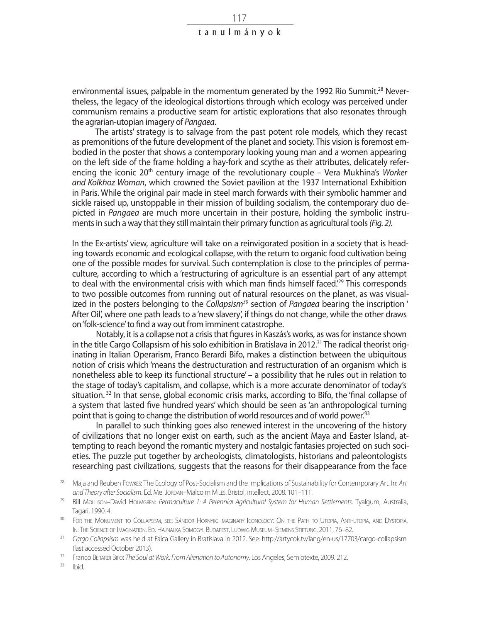environmental issues, palpable in the momentum generated by the 1992 Rio Summit.<sup>28</sup> Nevertheless, the legacy of the ideological distortions through which ecology was perceived under communism remains a productive seam for artistic explorations that also resonates through the agrarian-utopian imagery of *Pangaea*.

The artists' strategy is to salvage from the past potent role models, which they recast as premonitions of the future development of the planet and society. This vision is foremost embodied in the poster that shows a contemporary looking young man and a women appearing on the left side of the frame holding a hay-fork and scythe as their attributes, delicately referencing the iconic 20<sup>th</sup> century image of the revolutionary couple – Vera Mukhina's *Worker and Kolkhoz Woman*, which crowned the Soviet pavilion at the 1937 International Exhibition in Paris. While the original pair made in steel march forwards with their symbolic hammer and sickle raised up, unstoppable in their mission of building socialism, the contemporary duo depicted in *Pangaea* are much more uncertain in their posture, holding the symbolic instruments in such a way that they still maintain their primary function as agricultural tools *(Fig. 2).*

In the Ex-artists' view, agriculture will take on a reinvigorated position in a society that is heading towards economic and ecological collapse, with the return to organic food cultivation being one of the possible modes for survival. Such contemplation is close to the principles of permaculture, according to which a 'restructuring of agriculture is an essential part of any attempt to deal with the environmental crisis with which man finds himself faced.<sup>29</sup> This corresponds to two possible outcomes from running out of natural resources on the planet, as was visualized in the posters belonging to the *Collapsism30* section of *Pangaea* bearing the inscription ' After Oil', where one path leads to a 'new slavery', if things do not change, while the other draws on 'folk-science' to find a way out from imminent catastrophe.

Notably, it is a collapse not a crisis that figures in Kaszás's works, as was for instance shown in the title Cargo Collapsism of his solo exhibition in Bratislava in 2012.<sup>31</sup> The radical theorist originating in Italian Operarism, Franco Berardi Bifo, makes a distinction between the ubiquitous notion of crisis which 'means the destructuration and restructuration of an organism which is nonetheless able to keep its functional structure' – a possibility that he rules out in relation to the stage of today's capitalism, and collapse, which is a more accurate denominator of today's situation. <sup>32</sup> In that sense, global economic crisis marks, according to Bifo, the 'final collapse of a system that lasted five hundred years' which should be seen as 'an anthropological turning point that is going to change the distribution of world resources and of world power.'33

In parallel to such thinking goes also renewed interest in the uncovering of the history of civilizations that no longer exist on earth, such as the ancient Maya and Easter Island, attempting to reach beyond the romantic mystery and nostalgic fantasies projected on such societies. The puzzle put together by archeologists, climatologists, historians and paleontologists researching past civilizations, suggests that the reasons for their disappearance from the face

 $33$  Ibid.

<sup>28</sup> Maja and Reuben Fowkes: The Ecology of Post-Socialism and the Implications of Sustainability for Contemporary Art. In: *Art*  and Theory after Socialism. Ed. Mel Jordan–Malcolm Milles. Bristol, intellect, 2008, 101–111.

<sup>29</sup> Bill Mollison–David Holmgren: *Permaculture 1: A Perennial Agricultural System for Human Settlements*. Tyalgum, Australia, Tagari, 1990. 4.

<sup>&</sup>lt;sup>30</sup> FOR THE MONUMENT TO COLLAPSISM, SEE: SÁNDOR HORNYIK: IMAGINARY ICONOLOGY: ON THE PATH TO UTOPIA, ANTI-UTOPIA, AND DYSTOPIA. In: The Science of Imagination. Ed. Hajnalka Somogyi. Budapest, Ludwig Museum–Siemens Stiftung, 2011, 76–82.

<sup>31</sup> *Cargo Collapsism* was held at Faica Gallery in Bratislava in 2012. See: http://artycok.tv/lang/en-us/17703/cargo-collapsism (last accessed October 2013).

<sup>32</sup> Franco Berardi Bifo: *The Soul at Work: From Alienation to Autonomy*. Los Angeles, Semiotexte, 2009. 212.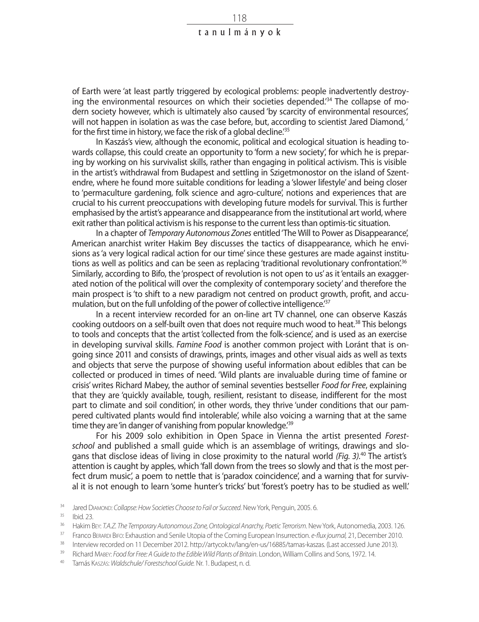of Earth were 'at least partly triggered by ecological problems: people inadvertently destroying the environmental resources on which their societies depended.'34 The collapse of modern society however, which is ultimately also caused 'by scarcity of environmental resources', will not happen in isolation as was the case before, but, according to scientist Jared Diamond, ' for the first time in history, we face the risk of a global decline.<sup>'35</sup>

In Kaszás's view, although the economic, political and ecological situation is heading towards collapse, this could create an opportunity to 'form a new society', for which he is preparing by working on his survivalist skills, rather than engaging in political activism. This is visible in the artist's withdrawal from Budapest and settling in Szigetmonostor on the island of Szentendre, where he found more suitable conditions for leading a 'slower lifestyle' and being closer to 'permaculture gardening, folk science and agro-culture', notions and experiences that are crucial to his current preoccupations with developing future models for survival. This is further emphasised by the artist's appearance and disappearance from the institutional art world, where exit rather than political activism is his response to the current less than optimis-tic situation.

In a chapter of *Temporary Autonomous Zones* entitled 'The Will to Power as Disappearance', American anarchist writer Hakim Bey discusses the tactics of disappearance, which he envisions as 'a very logical radical action for our time' since these gestures are made against institutions as well as politics and can be seen as replacing 'traditional revolutionary confrontation'.<sup>36</sup> Similarly, according to Bifo, the 'prospect of revolution is not open to us' as it 'entails an exaggerated notion of the political will over the complexity of contemporary society' and therefore the main prospect is 'to shift to a new paradigm not centred on product growth, profit, and accumulation, but on the full unfolding of the power of collective intelligence.<sup>37</sup>

In a recent interview recorded for an on-line art TV channel, one can observe Kaszás cooking outdoors on a self-built oven that does not require much wood to heat.<sup>38</sup> This belongs to tools and concepts that the artist 'collected from the folk-science', and is used as an exercise in developing survival skills. *Famine Food* is another common project with Loránt that is ongoing since 2011 and consists of drawings, prints, images and other visual aids as well as texts and objects that serve the purpose of showing useful information about edibles that can be collected or produced in times of need. 'Wild plants are invaluable during time of famine or crisis' writes Richard Mabey, the author of seminal seventies bestseller *Food for Free*, explaining that they are 'quickly available, tough, resilient, resistant to disease, indifferent for the most part to climate and soil condition', in other words, they thrive 'under conditions that our pampered cultivated plants would find intolerable', while also voicing a warning that at the same time they are 'in danger of vanishing from popular knowledge.<sup>'39</sup>

For his 2009 solo exhibition in Open Space in Vienna the artist presented *Forestschool* and published a small guide which is an assemblage of writings, drawings and slogans that disclose ideas of living in close proximity to the natural world *(Fig. 3).*40 The artist's attention is caught by apples, which 'fall down from the trees so slowly and that is the most perfect drum music', a poem to nettle that is 'paradox coincidence', and a warning that for survival it is not enough to learn 'some hunter's tricks' but 'forest's poetry has to be studied as well.'

<sup>&</sup>lt;sup>34</sup> Jared Diamond: *Collapse: How Societies Choose to Fail or Succeed*. New York, Penguin, 2005. 6.<br><sup>35</sup> Ibid. 23.<br><sup>36</sup> Hakim Bry: 7.4.7. The Temporany Autonomous Zone Ontological Anarchy Poetic Terrorism. Nov

<sup>36</sup> Hakim Bey: *T.A.Z. The Temporary Autonomous Zone, Ontological Anarchy, Poetic Terrorism*. New York, Autonomedia, 2003. 126.

<sup>37</sup> Franco Berardi Bifo: Exhaustion and Senile Utopia of the Coming European Insurrection. *e-flux journal,* 21, December 2010.

<sup>&</sup>lt;sup>38</sup> Interview recorded on 11 December 2012. http://artycok.tv/lang/en-us/16885/tamas-kaszas. (Last accessed June 2013).<br><sup>39</sup> Pichard Mappe Food for Free 4 Guide to the Edible Wild Plants of Pritcip Jondan William Colline

<sup>&</sup>lt;sup>39</sup> Richard Mabey: *Food for Free: A Guide to the Edible Wild Plants of Britain*. London, William Collins and Sons, 1972. 14.<br><sup>40</sup> Tamás Kaszás: *Waldschule/ Forestschool Guide.* Nr. 1. Budapest, n. d.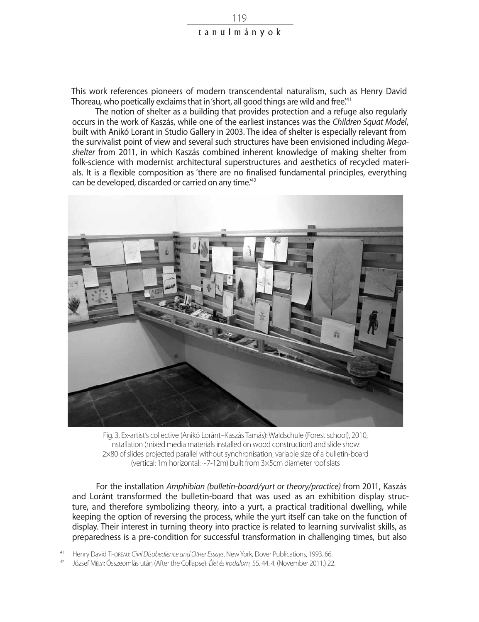This work references pioneers of modern transcendental naturalism, such as Henry David Thoreau, who poetically exclaims that in 'short, all good things are wild and free.<sup>41</sup>

The notion of shelter as a building that provides protection and a refuge also regularly occurs in the work of Kaszás, while one of the earliest instances was the *Children Squat Model*, built with Anikó Lorant in Studio Gallery in 2003. The idea of shelter is especially relevant from the survivalist point of view and several such structures have been envisioned including *Megashelter* from 2011, in which Kaszás combined inherent knowledge of making shelter from folk-science with modernist architectural superstructures and aesthetics of recycled materials. It is a flexible composition as 'there are no finalised fundamental principles, everything can be developed, discarded or carried on any time.<sup>42</sup>



Fig. 3. Ex-artist's collective (Anikó Loránt–Kaszás Tamás): Waldschule (Forest school), 2010, installation (mixed media materials installed on wood construction) and slide show: 2×80 of slides projected parallel without synchronisation, variable size of a bulletin-board (vertical: 1m horizontal: ~7-12m) built from 3×5cm diameter roof slats

For the installation *Amphibian (bulletin-board/yurt or theory/practice)* from 2011, Kaszás and Loránt transformed the bulletin-board that was used as an exhibition display structure, and therefore symbolizing theory, into a yurt, a practical traditional dwelling, while keeping the option of reversing the process, while the yurt itself can take on the function of display. Their interest in turning theory into practice is related to learning survivalist skills, as preparedness is a pre-condition for successful transformation in challenging times, but also

<sup>41</sup> Henry David Thoreau: *Civil Disobedience and Ot*h*er Essays*. New York, Dover Publications, 1993. 66.

<sup>42</sup> József Mélyi: Összeomlás után (After the Collapse). *Élet és Irodalom,* 55. 44. 4. (November 2011.) 22.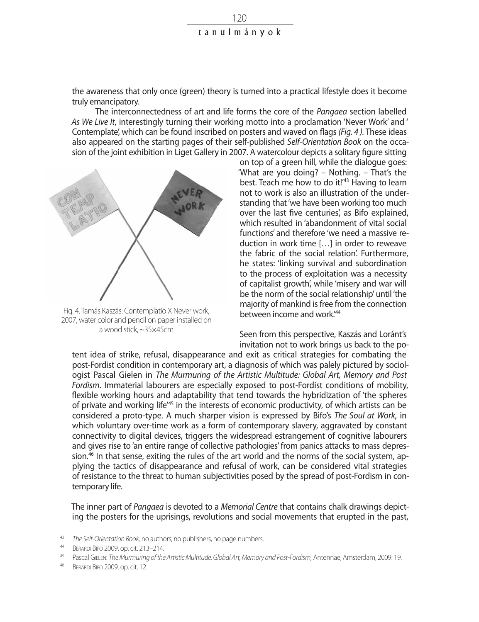the awareness that only once (green) theory is turned into a practical lifestyle does it become truly emancipatory.

The interconnectedness of art and life forms the core of the *Pangaea* section labelled *As We Live It*, interestingly turning their working motto into a proclamation 'Never Work' and ' Contemplate', which can be found inscribed on posters and waved on flags *(Fig. 4 ).* These ideas also appeared on the starting pages of their self-published *Self-Orientation Book* on the occasion of the joint exhibition in Liget Gallery in 2007. A watercolour depicts a solitary figure sitting



Fig. 4. Tamás Kaszás: Contemplatio X Never work, 2007, water color and pencil on paper installed on a wood stick, ~35×45cm

on top of a green hill, while the dialogue goes: 'What are you doing? – Nothing. – That's the best. Teach me how to do it!<sup>43</sup> Having to learn not to work is also an illustration of the understanding that 'we have been working too much over the last five centuries', as Bifo explained, which resulted in 'abandonment of vital social functions' and therefore 'we need a massive reduction in work time […] in order to reweave the fabric of the social relation'. Furthermore, he states: 'linking survival and subordination to the process of exploitation was a necessity of capitalist growth', while 'misery and war will be the norm of the social relationship' until 'the majority of mankind is free from the connection between income and work<sup>144</sup>

Seen from this perspective, Kaszás and Loránt's invitation not to work brings us back to the po-

tent idea of strike, refusal, disappearance and exit as critical strategies for combating the post-Fordist condition in contemporary art, a diagnosis of which was palely pictured by sociologist Pascal Gielen in *The Murmuring of the Artistic Multitude: Global Art, Memory and Post Fordism*. Immaterial labourers are especially exposed to post-Fordist conditions of mobility, flexible working hours and adaptability that tend towards the hybridization of 'the spheres of private and working life'45 in the interests of economic productivity, of which artists can be considered a proto-type. A much sharper vision is expressed by Bifo's *The Soul at Work*, in which voluntary over-time work as a form of contemporary slavery, aggravated by constant connectivity to digital devices, triggers the widespread estrangement of cognitive labourers and gives rise to 'an entire range of collective pathologies' from panics attacks to mass depression. $46$  In that sense, exiting the rules of the art world and the norms of the social system, applying the tactics of disappearance and refusal of work, can be considered vital strategies of resistance to the threat to human subjectivities posed by the spread of post-Fordism in contemporary life.

The inner part of *Pangaea* is devoted to a *Memorial Centre* that contains chalk drawings depicting the posters for the uprisings, revolutions and social movements that erupted in the past,

- 43 *The Self-Orientation Book, no authors, no publishers, no page numbers.*<br>44 *PERADE PEG 2000 OD 61: 213 214*
- <sup>44</sup> BERARDI BIFO 2009. op. cit. 213–214.<br><sup>45</sup> Pascal GIFLEN<sup>T</sup> The Murmuring of the
- <sup>45</sup> Pascal Gielen: *The Murmuring of the Artistic Multitude. Global Art, Memory and Post-Fordism,* Antennae, Amsterdam, 2009. 19.
- <sup>46</sup> Berardi Bifo 2009. op. cit. 12.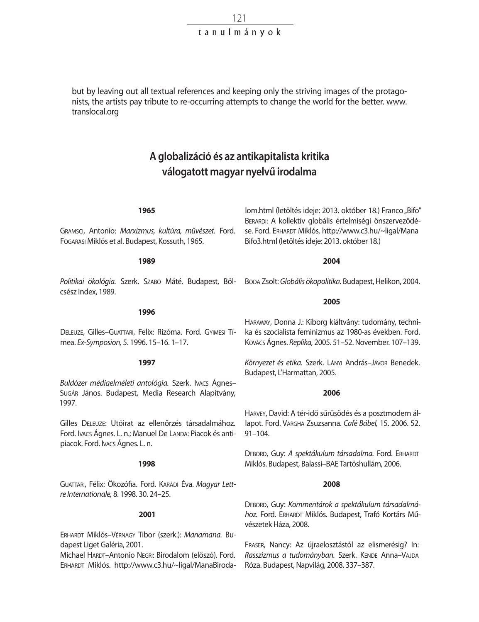but by leaving out all textual references and keeping only the striving images of the protagonists, the artists pay tribute to re-occurring attempts to change the world for the better. www. translocal.org

### **A globalizáció és az antikapitalista kritika válogatott magyar nyelvű irodalma**

#### **1965**

Gramsci, Antonio: *Marxizmus, kultúra, művészet.* Ford. Fogarasi Miklós et al. Budapest, Kossuth, 1965.

**1989**

*Politikai ökológia.* Szerk. Szabó Máté. Budapest, Bölcsész Index, 1989.

**1996**

Deleuze, Gilles–Guattari, Felix: Rizóma. Ford. Gyimesi Tímea. *Ex-Symposion,* 5. 1996. 15–16. 1–17.

#### **1997**

*Buldózer médiaelméleti antológia.* Szerk. Ivacs Ágnes– Sugár János. Budapest, Media Research Alapítvány, 1997.

Gilles Deleuze: Utóirat az ellenőrzés társadalmához. Ford. Ivacs Ágnes. L. n.; Manuel De Landa: Piacok és antipiacok. Ford. Ivacs Ágnes. L. n.

#### **1998**

Guattari, Félix: Ökozófia. Ford. Karádi Éva. *Magyar Lettre Internationale,* 8. 1998. 30. 24–25.

#### **2001**

Erhardt Miklós–Vérnagy Tibor (szerk.): *Manamana.* Budapest Liget Galéria, 2001.

Michael HARDT-Antonio NEGRI: Birodalom (előszó). Ford. Erhardt Miklós. http://www.c3.hu/~ligal/ManaBiroda-

lom.html (letöltés ideje: 2013. október 18.) Franco "Bifo" Berardi: A kollektív globális értelmiségi önszerveződése. Ford. ERHARDT Miklós. http://www.c3.hu/~ligal/Mana Bifo3.html (letöltés ideje: 2013. október 18.)

#### **2004**

Boda Zsolt: *Globális ökopolitika.* Budapest, Helikon, 2004.

#### **2005**

Haraway, Donna J.: Kiborg kiáltvány: tudomány, technika és szocialista feminizmus az 1980-as években. Ford. Kovács Ágnes. *Replika,* 2005. 51–52. November. 107–139.

*Környezet és etika.* Szerk. Lányi András–Jávor Benedek. Budapest, L'Harmattan, 2005.

#### **2006**

Harvey, David: A tér-idő sűrűsödés és a posztmodern állapot. Ford. Vargha Zsuzsanna. *Café Bábel,* 15. 2006. 52. 91–104.

DEBORD, Guy: A spektákulum társadalma. Ford. ERHARDT Miklós. Budapest, Balassi–BAE Tartóshullám, 2006.

#### **2008**

Debord, Guy: *Kommentárok a spektákulum társadalmá*hoz. Ford. ERHARDT Miklós. Budapest, Trafó Kortárs Művészetek Háza, 2008.

Fraser, Nancy: Az újraelosztástól az elismerésig? In: Rasszizmus a tudományban. Szerk. KENDE Anna-VAJDA Róza. Budapest, Napvilág, 2008. 337–387.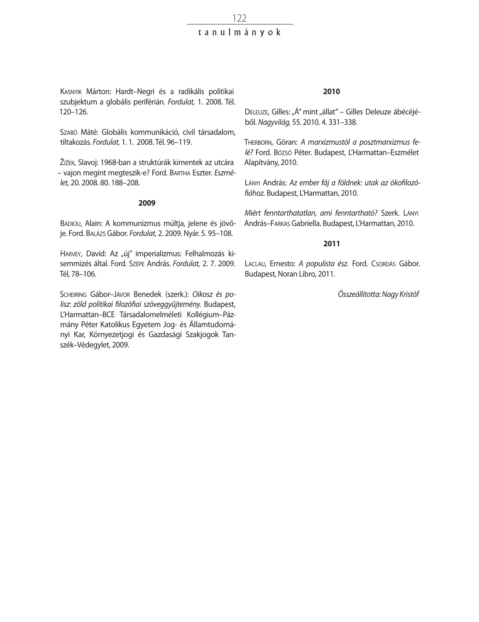Szabó Máté: Globális kommunikáció, civil társadalom, tiltakozás. *Fordulat,* 1. 1. 2008. Tél. 96–119.

Žižek, Slavoj: 1968-ban a struktúrák kimentek az utcára – vajon megint megteszik-e? Ford. Bartha Eszter. *Eszmélet,* 20. 2008. 80. 188–208.

#### **2009**

BADIOU, Alain: A kommunizmus múltja, jelene és jövője. Ford. Balázs Gábor. *Fordulat,* 2. 2009. Nyár. 5. 95–108.

HARVEY, David: Az "új" imperializmus: Felhalmozás kisemmizés által. Ford. Szépe András. *Fordulat,* 2. 7. 2009. Tél, 78–106.

Scheiring Gábor–Jávor Benedek (szerk.): *Oikosz és polisz: zöld politikai filozófiai szöveggyűjtemény.* Budapest, L'Harmattan–BCE Társadalomelméleti Kollégium–Pázmány Péter Katolikus Egyetem Jog- és Államtudományi Kar, Környezetjogi és Gazdasági Szakjogok Tanszék–Védegylet, 2009.

#### **2010**

DELEUZE, Gilles: "Á" mint "állat" – Gilles Deleuze ábécéjéből. *Nagyvilág,* 55. 2010. 4. 331–338.

Therborn, Göran: *A marxizmustól a posztmarxizmus felé?* Ford. Bózsó Péter. Budapest, L'Harmattan–Eszmélet Alapítvány, 2010.

Lányi András: *Az ember fáj a földnek: utak az ökofilozófiához.* Budapest, L'Harmattan, 2010.

*Miért fenntarthatatlan, ami fenntartható?* Szerk. Lányi András–Farkas Gabriella. Budapest, L'Harmattan, 2010.

#### **2011**

LACLAU, Ernesto: A populista ész. Ford. Csorpás Gábor. Budapest, Noran Libro, 2011.

*Összeállította: Nagy Kristóf*